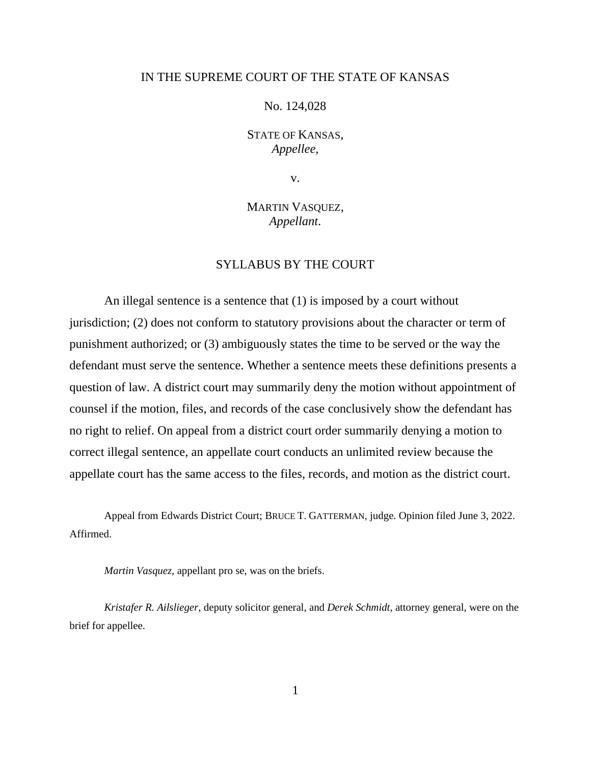## IN THE SUPREME COURT OF THE STATE OF KANSAS

No. 124,028

STATE OF KANSAS, *Appellee*,

v.

MARTIN VASQUEZ, *Appellant*.

## SYLLABUS BY THE COURT

An illegal sentence is a sentence that (1) is imposed by a court without jurisdiction; (2) does not conform to statutory provisions about the character or term of punishment authorized; or (3) ambiguously states the time to be served or the way the defendant must serve the sentence. Whether a sentence meets these definitions presents a question of law. A district court may summarily deny the motion without appointment of counsel if the motion, files, and records of the case conclusively show the defendant has no right to relief. On appeal from a district court order summarily denying a motion to correct illegal sentence, an appellate court conducts an unlimited review because the appellate court has the same access to the files, records, and motion as the district court.

Appeal from Edwards District Court; BRUCE T. GATTERMAN, judge. Opinion filed June 3, 2022. Affirmed.

*Martin Vasquez,* appellant pro se, was on the briefs.

*Kristafer R. Ailslieger*, deputy solicitor general, and *Derek Schmidt*, attorney general, were on the brief for appellee.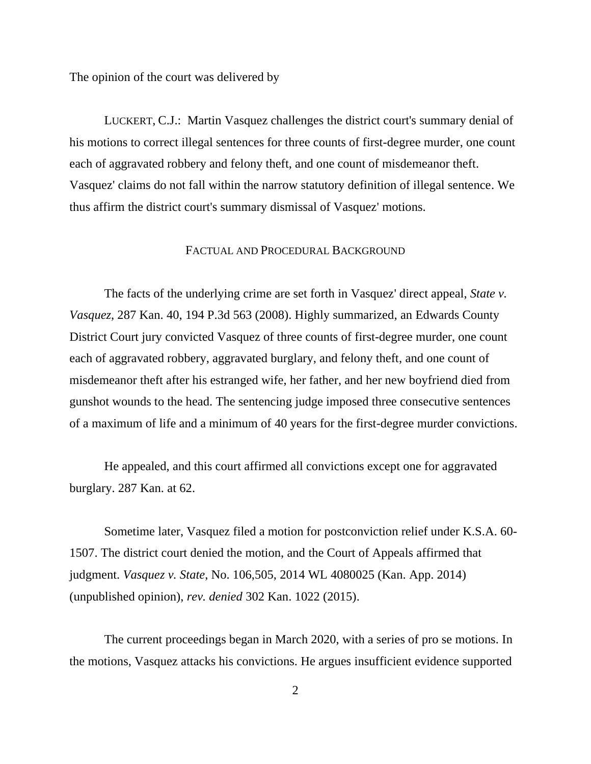The opinion of the court was delivered by

LUCKERT, C.J.: Martin Vasquez challenges the district court's summary denial of his motions to correct illegal sentences for three counts of first-degree murder, one count each of aggravated robbery and felony theft, and one count of misdemeanor theft. Vasquez' claims do not fall within the narrow statutory definition of illegal sentence. We thus affirm the district court's summary dismissal of Vasquez' motions.

## FACTUAL AND PROCEDURAL BACKGROUND

The facts of the underlying crime are set forth in Vasquez' direct appeal, *State v. Vasquez*, 287 Kan. 40, 194 P.3d 563 (2008). Highly summarized, an Edwards County District Court jury convicted Vasquez of three counts of first-degree murder, one count each of aggravated robbery, aggravated burglary, and felony theft, and one count of misdemeanor theft after his estranged wife, her father, and her new boyfriend died from gunshot wounds to the head. The sentencing judge imposed three consecutive sentences of a maximum of life and a minimum of 40 years for the first-degree murder convictions.

He appealed, and this court affirmed all convictions except one for aggravated burglary. 287 Kan. at 62.

Sometime later, Vasquez filed a motion for postconviction relief under K.S.A. 60- 1507. The district court denied the motion, and the Court of Appeals affirmed that judgment. *Vasquez v. State*, No. 106,505, 2014 WL 4080025 (Kan. App. 2014) (unpublished opinion), *rev. denied* 302 Kan. 1022 (2015).

The current proceedings began in March 2020, with a series of pro se motions. In the motions, Vasquez attacks his convictions. He argues insufficient evidence supported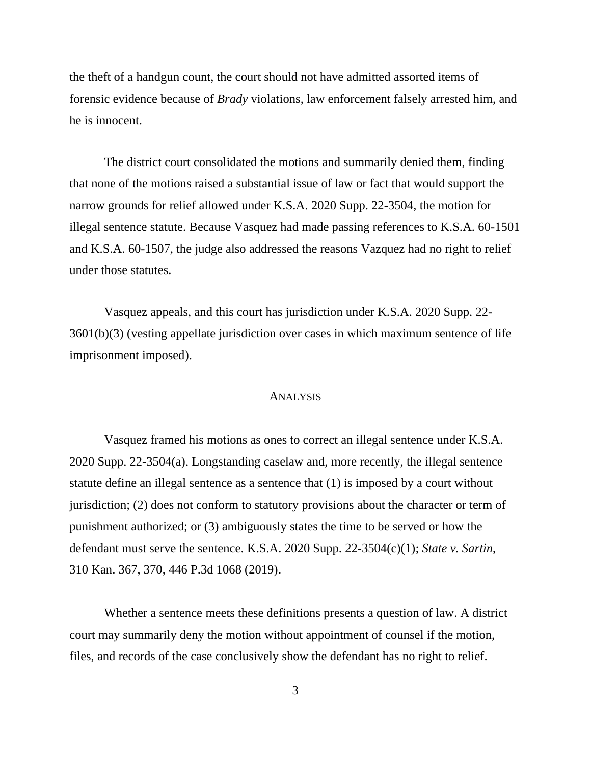the theft of a handgun count, the court should not have admitted assorted items of forensic evidence because of *Brady* violations, law enforcement falsely arrested him, and he is innocent.

The district court consolidated the motions and summarily denied them, finding that none of the motions raised a substantial issue of law or fact that would support the narrow grounds for relief allowed under K.S.A. 2020 Supp. 22-3504, the motion for illegal sentence statute. Because Vasquez had made passing references to K.S.A. 60-1501 and K.S.A. 60-1507, the judge also addressed the reasons Vazquez had no right to relief under those statutes.

Vasquez appeals, and this court has jurisdiction under K.S.A. 2020 Supp. 22- 3601(b)(3) (vesting appellate jurisdiction over cases in which maximum sentence of life imprisonment imposed).

## ANALYSIS

Vasquez framed his motions as ones to correct an illegal sentence under K.S.A. 2020 Supp. 22-3504(a). Longstanding caselaw and, more recently, the illegal sentence statute define an illegal sentence as a sentence that (1) is imposed by a court without jurisdiction; (2) does not conform to statutory provisions about the character or term of punishment authorized; or (3) ambiguously states the time to be served or how the defendant must serve the sentence. K.S.A. 2020 Supp. 22-3504(c)(1); *State v. Sartin*, 310 Kan. 367, 370, 446 P.3d 1068 (2019).

Whether a sentence meets these definitions presents a question of law. A district court may summarily deny the motion without appointment of counsel if the motion, files, and records of the case conclusively show the defendant has no right to relief.